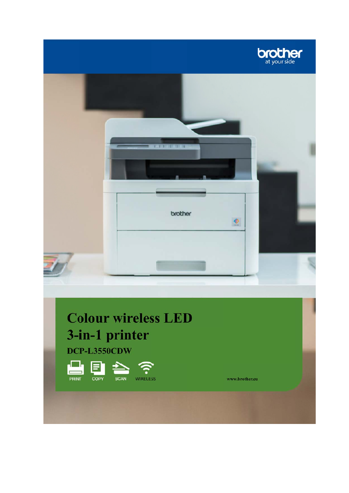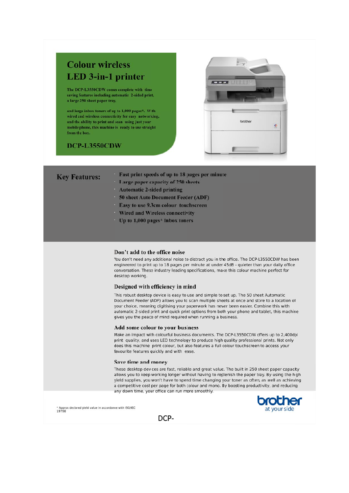# **Colour wireless LED** 3-in-1 printer

The DCP-L3550CDW comes complete with time saving features including automatic 2-sided print, a large 250 sheet paper tray,

and large inbox toners of up to 1,000 pages\*. With wired and wireless connectivity for easy networking, and the ability to print and scan using just your mobile phone, this machine is ready to use straight from the box.

## DCP-L3550CDW



| <b>Key Features:</b> |  |
|----------------------|--|
|                      |  |

- Fast print speeds of up to 18 pages per minute
- Large paper capacity of 250 sheets
- **Automatic 2-sided printing**
- 50 sheet Auto Document Feeder (ADF)
- Easy to use 9.3cm colour touchscreen
- Wired and Wireless connectivity
- Up to 1,000 pages\* inbox toners

## Don't add to the office noise

You don't need any additional noise to distract you in the office. The DCP-L3550CDW has been engineered to print up to 18 pages per minute at under 45dB - quieter than your daily office conversation. These industry leading specifications, make this colour machine perfect for desktop working.

## Designed with efficiency in mind

This robust desktop device is easy to use and simple to set up. The 50 sheet Automatic Document Feeder (ADF) allows you to scan multiple sheets at once and store to a location of your choice, meaning digitising your paperwork has never been easier. Combine this with automatic 2-sided print and quick print options from both your phone and tablet, this machine gives you the peace of mind required when running a business.

### Add some colour to your business

Make an impact with colourful business documents. The DCP-L3550CDW offers up to 2,400dpi print quality, and uses LED technology to produce high quality professional prints. Not only does this machine print colour, but also features a full colour touchscreen to access your favourite features quickly and with ease.

#### Save time and money

These desktop devices are fast, reliable and great value. The built in 250 sheet paper capacity allows you to keep working longer without having to replenish the paper tray. By using the high yield supplies, you won't have to spend time changing your toner as often, as well as achieving a competitive cost per page for both colour and mono. By boosting productivity, and reducing any down time, your office can run more smoothly.





DCP-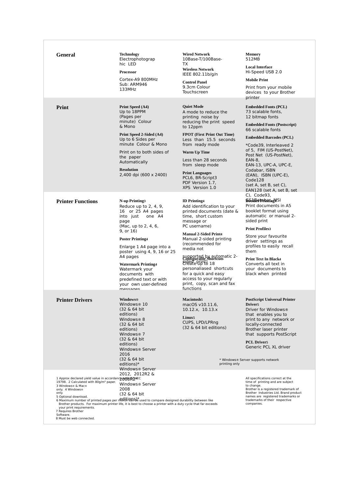| <b>General</b>                                                                                                                                                                                                                                                                     | <b>Technology</b><br>Electrophotograp<br>hic LED<br><b>Processor</b><br>Cortex-A9 800MHz<br>Sub: ARM946<br>133MHz                                                                                                                                                                                                                                                              | <b>Wired Network</b><br>10Base-T/100Base-<br>TX<br><b>Wireless Network</b><br>IEEE 802.11b/g/n<br><b>Control Panel</b><br>9.3cm Colour<br>Touchscreen                                                                                                                                                                                                                                                                               | <b>Memory</b><br>512MB<br><b>Local Interface</b><br>Hi-Speed USB 2.0<br><b>Mobile Print</b><br>Print from your mobile<br>devices to your Brother                                                                                                                                                                                                                                                          |
|------------------------------------------------------------------------------------------------------------------------------------------------------------------------------------------------------------------------------------------------------------------------------------|--------------------------------------------------------------------------------------------------------------------------------------------------------------------------------------------------------------------------------------------------------------------------------------------------------------------------------------------------------------------------------|-------------------------------------------------------------------------------------------------------------------------------------------------------------------------------------------------------------------------------------------------------------------------------------------------------------------------------------------------------------------------------------------------------------------------------------|-----------------------------------------------------------------------------------------------------------------------------------------------------------------------------------------------------------------------------------------------------------------------------------------------------------------------------------------------------------------------------------------------------------|
| Print                                                                                                                                                                                                                                                                              | Print Speed (A4)<br>Up to 18PPM<br>(Pages per<br>minute) Colour<br>& Mono<br>Print Speed 2-Sided (A4)<br>Up to 6 Sides per<br>minute Colour & Mono<br>Print on to both sides of<br>the paper<br>Automatically<br><b>Resolution</b><br>2,400 dpi (600 x 2400)                                                                                                                   | <b>Quiet Mode</b><br>A mode to reduce the<br>printing noise by<br>reducing the print speed<br>to 12ppm<br><b>FPOT (First Print Out Time)</b><br>Less than 15.5 seconds<br>from ready mode<br><b>Warm Up Time</b><br>Less than 28 seconds<br>from sleep mode<br><b>Print Languages</b><br>PCL6, BR-Script3<br>PDF Version 1.7,<br>XPS Version 1.0                                                                                    | printer<br><b>Embedded Fonts (PCL)</b><br>73 scalable fonts.<br>12 bitmap fonts<br><b>Embedded Fonts (Postscript)</b><br>66 scalable fonts<br><b>Embedded Barcodes (PCL)</b><br>*Code39, Interleaved 2<br>of 5, FIM (US-PostNet),<br>Post Net (US-PostNet),<br>EAN-8,<br>EAN-13, UPC-A, UPC-E,<br>Codabar, ISBN<br>(EAN), ISBN (UPC-E),<br>Code128<br>(set A, set B, set C),<br>EAN128 (set A, set B, set |
| <b>Printer Functions</b>                                                                                                                                                                                                                                                           | <b>N-up Printing3</b><br>Reduce up to $2, 4, 9$ ,<br>16 or 25 A4 pages<br>into just<br>one A4<br>page<br>(Mac, up to 2, 4, 6,<br>9, or 16)<br><b>Poster Printing4</b><br>Enlarge 1 A4 page into a<br>poster using 4, 9, 16 or 25<br>A4 pages<br><b>Watermark Printing4</b><br>Watermark your<br>documents with<br>predefined text or with<br>your own user-defined<br>messanes | <b>ID</b> Printing4<br>Add identification to your<br>printed documents (date &<br>time, short custom<br>message or<br>PC username)<br><b>Manual 2-Sided Print4</b><br>Manual 2-sided printing<br>(recommended for<br>media not<br>supported by automatic 2-<br>Configurable Shortcuts<br>Speare Print 2 18<br>personaliased shortcuts<br>for a quick and easy<br>access to your regularly<br>print, copy, scan and fax<br>functions | C), Code93,<br><b>BSAR014hamASI</b><br>Print documents in A5<br>booklet format using<br>automatic or manual 2-<br>sided print<br><b>Print Profiles3</b><br>Store your favourite<br>driver settings as<br>profiles to easily recall<br>them<br><b>Print Text In Black4</b><br>Converts all text in<br>vour documents to<br>black when printed                                                              |
| <b>Printer Drivers</b>                                                                                                                                                                                                                                                             | Windows®<br>Windows <sup>®</sup> 10<br>(32 & 64 bit<br>editions)<br>Windows® 8<br>(32 & 64 bit)<br>editions)<br>Windows <sup>®</sup> 7<br>(32 & 64 bit)<br>editions)<br>Windows <sup>®</sup> Server<br>2016<br>(32 & 64 bit)<br>editions) $*$<br>Windows® Server                                                                                                               | <b>Macintosh5</b><br>macOS v10.11.6,<br>10.12.x, 10.13.x<br>Linux <sub>5</sub><br>CUPS, LPD/LPRng<br>$(32 \& 64 \text{ bit editions})$<br>printing only                                                                                                                                                                                                                                                                             | <b>PostScript Universal Printer</b><br><b>Driver5</b><br>Driver for Windows®<br>that enables you to<br>print to any network or<br>locally-connected<br>Brother laser printer<br>that supports PostScript<br><b>PCL Driver5</b><br>Generic PCL XL driver<br>* Windows® Server supports network                                                                                                             |
| 1 Approx declared yield value in accordance ming AQ/HEC<br>19798. 2 Calculated with 80g/m <sup>2</sup> paper.<br>3 Windows® & Mac®<br>only. 4 Windows®<br>only.<br>5 Optional download.<br>your print requirements.<br>7 Requires Brother<br>Software.<br>8 Must be web connected. | 2012, 2012R2 &<br>Windows® Server<br>2008<br>(32 & 64 bit)<br>6 Maximum number of printed pages per neglitions of used to compare designed durability between like<br>Brother products. For maximum printer life, it is best to choose a printer with a duty cycle that far exceeds                                                                                            |                                                                                                                                                                                                                                                                                                                                                                                                                                     | All specifications correct at the<br>time of printing and are subject<br>to change.<br>Brother is a registered trademark of<br>Brother Industries Ltd. Brand product<br>names are registered trademarks or<br>trademarks of their respective<br>companies.                                                                                                                                                |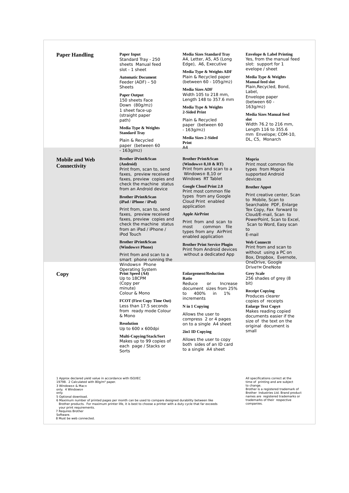| <b>Paper Handling</b>                                                                                                                                   | <b>Paper Input</b><br>Standard Tray - 250<br>sheets Manual feed<br>slot - 1 sheet                                                                                                                                    | <b>Media Sizes Standard Tray</b><br>A4, Letter, A5, A5 (Long<br>Edge), A6, Executive<br>Media Type & Weights ADF                                         |
|---------------------------------------------------------------------------------------------------------------------------------------------------------|----------------------------------------------------------------------------------------------------------------------------------------------------------------------------------------------------------------------|----------------------------------------------------------------------------------------------------------------------------------------------------------|
|                                                                                                                                                         | <b>Automatic Document</b><br>Feeder (ADF) - 50<br>Sheets                                                                                                                                                             | Plain & Recycled paper<br>(between 60 - 105g/m2)                                                                                                         |
|                                                                                                                                                         | <b>Paper Output</b><br>150 sheets Face                                                                                                                                                                               | <b>Media Sizes ADF</b><br>Width 105 to 218 mm,<br>Length 148 to 357.6 mm                                                                                 |
|                                                                                                                                                         | Down (80g/m2)<br>1 sheet face-up<br>(straight paper                                                                                                                                                                  | Media Type & Weights<br>2-Sided Print                                                                                                                    |
|                                                                                                                                                         | path)<br>Media Type & Weights<br><b>Standard Tray</b>                                                                                                                                                                | Plain & Recycled<br>paper (between 60<br>- 163g/m2)                                                                                                      |
|                                                                                                                                                         | Plain & Recycled<br>paper (between 60                                                                                                                                                                                | <b>Media Sizes 2-Sided</b><br>Print<br>A4                                                                                                                |
|                                                                                                                                                         | - 163g/m2)                                                                                                                                                                                                           |                                                                                                                                                          |
| <b>Mobile and Web</b><br>Connectivity                                                                                                                   | <b>Brother iPrint&amp;Scan</b><br>(Android)<br>Print from, scan to, send<br>faxes, preview received<br>faxes, preview copies and<br>check the machine status<br>from an Android device                               | <b>Brother Print&amp;Scan</b><br>(Windows® $8,10 \& RT$ )<br>Print from and scan to a<br>Windows® 8,10 or<br>Windows RT Tablet<br>Google Cloud Print 2.0 |
|                                                                                                                                                         | <b>Brother iPrint&amp;Scan</b><br>(iPad / iPhone / iPod)                                                                                                                                                             | Print most common file<br>types from any Google<br>Cloud Print enabled                                                                                   |
|                                                                                                                                                         | Print from, scan to, send                                                                                                                                                                                            | application                                                                                                                                              |
|                                                                                                                                                         | faxes, preview received<br>faxes, preview copies and                                                                                                                                                                 | <b>Apple AirPrint</b>                                                                                                                                    |
|                                                                                                                                                         | check the machine status<br>from an iPad / iPhone /<br>iPod Touch                                                                                                                                                    | Print from and scan to<br>common file<br>most<br>types from any AirPrint<br>enabled application                                                          |
|                                                                                                                                                         | <b>Brother iPrint&amp;Scan</b><br>(Windows® Phone)                                                                                                                                                                   | <b>Brother Print Service Plugin</b><br>Print from Android devices                                                                                        |
|                                                                                                                                                         | Print from and scan to a<br>smart phone running the                                                                                                                                                                  | without a dedicated App                                                                                                                                  |
|                                                                                                                                                         | Windows® Phone<br>Operating System                                                                                                                                                                                   |                                                                                                                                                          |
| Copy                                                                                                                                                    | Print Speed (A4)<br>Up to 18CPM                                                                                                                                                                                      | <b>Enlargement/Reduction</b><br>Ratio                                                                                                                    |
|                                                                                                                                                         | (Copy per                                                                                                                                                                                                            | Reduce<br>Increase<br>or                                                                                                                                 |
|                                                                                                                                                         | minute)<br>Colour & Mono                                                                                                                                                                                             | document sizes from 25%<br>400%<br>$1\%$<br>to<br>in                                                                                                     |
|                                                                                                                                                         | FCOT (First Copy Time Out)                                                                                                                                                                                           | increments                                                                                                                                               |
|                                                                                                                                                         | Less than 17.5 seconds<br>from ready mode Colour                                                                                                                                                                     | N in 1 Copying                                                                                                                                           |
|                                                                                                                                                         | & Mono                                                                                                                                                                                                               | Allows the user to<br>compress 2 or 4 pages                                                                                                              |
|                                                                                                                                                         | <b>Resolution</b><br>Up to $600 \times 600$ dpi                                                                                                                                                                      | on to a single A4 sheet                                                                                                                                  |
|                                                                                                                                                         | Multi-Copying/Stack/Sort                                                                                                                                                                                             | 2in1 ID Copying                                                                                                                                          |
|                                                                                                                                                         | Makes up to 99 copies of<br>each page / Stacks or<br>Sorts                                                                                                                                                           | Allows the user to copy<br>both sides of an ID card<br>to a single A4 sheet                                                                              |
|                                                                                                                                                         |                                                                                                                                                                                                                      |                                                                                                                                                          |
|                                                                                                                                                         |                                                                                                                                                                                                                      |                                                                                                                                                          |
| 1 Approx declared yield value in accordance with ISO/IEC<br>19798. 2 Calculated with 80g/m <sup>2</sup> paper.<br>3 Windows® & Mac®<br>only. 4 Windows® |                                                                                                                                                                                                                      |                                                                                                                                                          |
| only.<br>5 Optional download.                                                                                                                           |                                                                                                                                                                                                                      |                                                                                                                                                          |
| your print requirements.<br>7 Requires Brother                                                                                                          | 6 Maximum number of printed pages per month can be used to compare designed durability between like<br>Brother products. For maximum printer life, it is best to choose a printer with a duty cycle that far exceeds |                                                                                                                                                          |
| Software.<br>8 Must be web connected.                                                                                                                   |                                                                                                                                                                                                                      |                                                                                                                                                          |

**Envelope & Label Printing**  Yes, from the manual feed slot: support for 1

evelope / sheet **Media Type & Weights Manual feed slot** 

Plain,Recycled, Bond, Label,

Envelope paper (between 60 - 163g/m2)

**Media Sizes Manual feed slot** Width 76.2 to 216 mm,

Length 116 to 355.6 mm Envelope; COM-10, DL, C5, Monarch

#### **Mopria**

Print most common file types from Mopria supported Android devices

#### **Brother Apps8**

Print creative center, Scan to Mobile, Scan to Searchable PDF, Enlarge Tex Copy, Fax forward to Cloud/E-mail, Scan to PowerPoint, Scan to Excel, Scan to Word, Easy scan to

#### E-mail

**Web Connect8**

Print from and scan to without using a PC on Box, Dropbox, Evernote, OneDrive, Google DriveTM OneNote **Grey Scale** 256 shades of grey (8 bit)

**Receipt Copying**  Produces clearer copies of receipts

**Enlarge Text Copy8** Makes reading copied documents easier if the size of the text on the original document is small

All specifications correct at the time of printing and are subject to change. Brother is a registered trademark of Brother Industries Ltd. Brand product names are registered trademarks or trademarks of their respective companies.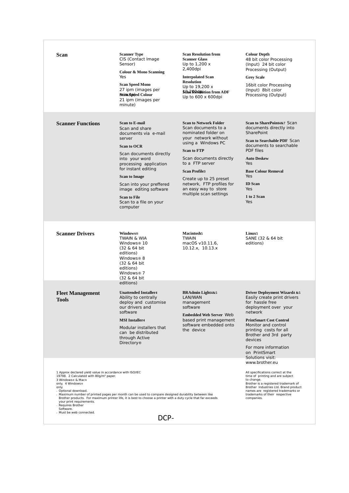| Scan                                                                                                                                                                                                                                                                              | <b>Scanner Type</b><br>CIS (Contact Image<br>Sensor)<br>Colour & Mono Scanning<br>Yes<br><b>Scan Speed Mono</b><br>27 ipm (images per<br>Scimus poded Colour<br>21 ipm (images per<br>minute)                                                                                                                                            | <b>Scan Resolution from</b><br><b>Scanner Glass</b><br>Up to $1,200 \times$<br>2,400dpi<br><b>Interpolated Scan</b><br><b>Resolution</b><br>Up to $19,200 \times$<br>Sear Resolution from ADF<br>Up to $600 \times 600$ dpi                                                                                                    | <b>Colour Depth</b><br>48 bit color Processing<br>(Input) 24 bit color<br>Processing (Output)<br><b>Grey Scale</b><br>16bit color Processing<br>(Input) 8bit color<br>Processing (Output)                                                                                                        |  |
|-----------------------------------------------------------------------------------------------------------------------------------------------------------------------------------------------------------------------------------------------------------------------------------|------------------------------------------------------------------------------------------------------------------------------------------------------------------------------------------------------------------------------------------------------------------------------------------------------------------------------------------|--------------------------------------------------------------------------------------------------------------------------------------------------------------------------------------------------------------------------------------------------------------------------------------------------------------------------------|--------------------------------------------------------------------------------------------------------------------------------------------------------------------------------------------------------------------------------------------------------------------------------------------------|--|
| <b>Scanner Functions</b>                                                                                                                                                                                                                                                          | <b>Scan to E-mail</b><br>Scan and share<br>documents via e-mail<br>server<br><b>Scan to OCR</b><br>Scan documents directly<br>into your word<br>processing application<br>for instant editing<br><b>Scan to Image</b><br>Scan into your preffered<br>image editing software<br><b>Scan to File</b><br>Scan to a file on your<br>computer | <b>Scan to Network Folder</b><br>Scan documents to a<br>nominated folder on<br>your network without<br>using a Windows PC<br><b>Scan to FTP</b><br>Scan documents directly<br>to a FTP server<br><b>Scan Profile3</b><br>Create up to 25 preset<br>network, FTP profiles for<br>an easy way to store<br>multiple scan settings | Scan to SharePoint4&7 Scan<br>documents directly into<br><b>SharePoint</b><br>Scan to Searchable PDF Scan<br>documents to searchable<br><b>PDF</b> files<br><b>Auto Deskew</b><br>Yes<br><b>Base Colour Removal</b><br>Yes<br><b>ID</b> Scan<br>Yes<br>1 to 2 Scan<br>Yes                        |  |
| <b>Scanner Drivers</b>                                                                                                                                                                                                                                                            | <b>Windows®</b><br><b>TWAIN &amp; WIA</b><br>Windows <sup>®</sup> 10<br>(32 & 64 bit)<br>editions)<br>Windows <sup>®</sup> 8<br>(32 & 64 bit)<br>editions)<br>Windows <sup>®</sup> 7<br>(32 & 64 bit)                                                                                                                                    | Macintosh5<br><b>TWAIN</b><br>macOS v10.11.6,<br>10.12.x, 10.13.x                                                                                                                                                                                                                                                              | Linux <sub>5</sub><br>SANE (32 & 64 bit)<br>editions)                                                                                                                                                                                                                                            |  |
| <b>Fleet Management</b><br><b>Tools</b>                                                                                                                                                                                                                                           | editions)<br><b>Unattended Installer4</b><br>Ability to centrally<br>deploy and customise<br>our drivers and<br>software<br><b>MSI</b> Installer4<br>Modular installers that<br>can be distributed<br>through Active<br><b>Directory</b> <sup>®</sup>                                                                                    | <b>BRAdmin Light4&amp;5</b><br>LAN/WAN<br>management<br>software<br><b>Embedded Web Server Web</b><br>based print management<br>software embedded onto<br>the device                                                                                                                                                           | <b>Driver Deployment Wizard4 &amp;5</b><br>Easily create print drivers<br>for hassle free<br>deployment over your<br>network<br><b>PrintSmart Cost Control</b><br>Monitor and control<br>printing costs for all<br>Brother and 3rd party<br>devices<br>For more information<br>on PrintSmart     |  |
| 1 Approx declared yield value in accordance with ISO/IEC<br>19798. 2 Calculated with 80g/m <sup>2</sup> paper.<br>3 Windows® & Mac®<br>only. 4 Windows®<br>only.<br>s Optional download.<br>your print requirements.<br>Requires Brother<br>Software.<br>» Must be web connected. | Maximum number of printed pages per month can be used to compare designed durability between like<br>Brother products. For maximum printer life, it is best to choose a printer with a duty cycle that far exceeds                                                                                                                       |                                                                                                                                                                                                                                                                                                                                | Solutions visit:<br>www.brother.eu<br>All specifications correct at the<br>time of printing and are subject<br>to change.<br>Brother is a registered trademark of<br>Brother Industries Ltd. Brand product<br>names are registered trademarks or<br>trademarks of their respective<br>companies. |  |
| DCP-                                                                                                                                                                                                                                                                              |                                                                                                                                                                                                                                                                                                                                          |                                                                                                                                                                                                                                                                                                                                |                                                                                                                                                                                                                                                                                                  |  |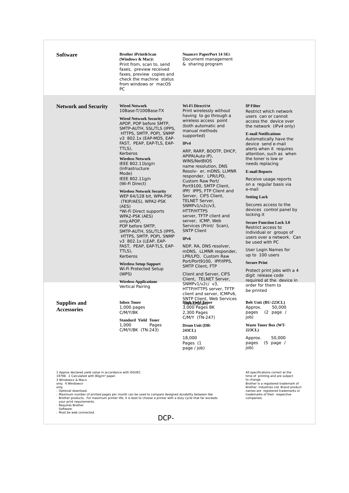| Software                                                                                                                                                                                                                                                                              | <b>Brother iPrint&amp;Scan</b><br>(Windows & Mac)5<br>Print from, scan to, send<br>faxes, preview received<br>faxes, preview copies and<br>check the machine status<br>from windows or macOS<br>РC                                                                                                                                                                                                                                                                                                                                                                                                                                                                                                                                                 | <b>Nuance® PaperPort 14 SE5</b><br>Document management<br>& sharing program                                                                                                                                                                                                                                                                                                                                                                                                                                                                                                                                                                                                                                                                                                      |                                                                                                                                                                                                                                                                                                                                                                                                                                                                                                                                                                                                                                                                                                                                                                               |
|---------------------------------------------------------------------------------------------------------------------------------------------------------------------------------------------------------------------------------------------------------------------------------------|----------------------------------------------------------------------------------------------------------------------------------------------------------------------------------------------------------------------------------------------------------------------------------------------------------------------------------------------------------------------------------------------------------------------------------------------------------------------------------------------------------------------------------------------------------------------------------------------------------------------------------------------------------------------------------------------------------------------------------------------------|----------------------------------------------------------------------------------------------------------------------------------------------------------------------------------------------------------------------------------------------------------------------------------------------------------------------------------------------------------------------------------------------------------------------------------------------------------------------------------------------------------------------------------------------------------------------------------------------------------------------------------------------------------------------------------------------------------------------------------------------------------------------------------|-------------------------------------------------------------------------------------------------------------------------------------------------------------------------------------------------------------------------------------------------------------------------------------------------------------------------------------------------------------------------------------------------------------------------------------------------------------------------------------------------------------------------------------------------------------------------------------------------------------------------------------------------------------------------------------------------------------------------------------------------------------------------------|
| <b>Network and Security</b>                                                                                                                                                                                                                                                           | <b>Wired Network</b><br>10Base-T/100Base-TX<br><b>Wired Network Security</b><br>APOP, POP before SMTP,<br>SMTP-AUTH, SSL/TLS (IPPS,<br>HTTPS, SMTP, POP), SNMP<br>v3 802.1x (EAP-MD5, EAP-<br>FAST, PEAP, EAP-TLS, EAP-<br>TTLS),<br>Kerberos<br><b>Wireless Network</b><br>IEEE 802.11b/g/n<br>(Infrastructure)<br>Mode)<br>IEEE 802.11g/n<br>(Wi-Fi Direct)<br><b>Wireless Network Security</b><br>WEP 64/128 bit, WPA-PSK<br>(TKIP/AES), WPA2-PSK<br>(AES)<br>*Wi-Fi Direct supports<br>WPA2-PSK (AES)<br>only.APOP,<br>POP before SMTP,<br>SMTP-AUTH, SSL/TLS (IPPS,<br>HTTPS, SMTP, POP), SNMP<br>v3 802.1x (LEAP, EAP-<br>FAST, PEAP, EAP-TLS, EAP-<br>TTLS),<br>Kerberos<br><b>Wireless Setup Support</b><br>Wi-Fi Protected Setup<br>(WPS) | Wi-Fi DirectTM<br>Print wirelessly without<br>having to go through a<br>wireless access point<br>(both automatic and<br>manual methods<br>supported)<br>IPv4<br>ARP, RARP, BOOTP, DHCP,<br>APIPA(Auto IP),<br>WINS/NetBIOS<br>name resolution, DNS<br>Resolv- er, mDNS, LLMNR<br>responder, LPR/LPD,<br>Custom Raw Port/<br>Port9100, SMTP Client,<br>IPP/ IPPS, FTP Client and<br>Server, CIFS Client,<br><b>TELNET Server,</b><br>$SNMPv1/v2c/v3$ ,<br>HTTP/HTTPS<br>server, TFTP client and<br>server, ICMP, Web<br>Services (Print/ Scan),<br><b>SNTP Client</b><br>IP <sub>v</sub> 6<br>NDP, RA, DNS resolver,<br>mDNS, LLMNR responder,<br>LPR/LPD, Custom Raw<br>Port/Port9100, IPP/IPPS,<br><b>SMTP Client, FTP</b><br>Client and Server, CIFS<br>Client, TELNET Server, | <b>IP</b> Filter<br>Restrict which network<br>users can or cannot<br>access the device over<br>the network (IPv4 only)<br><b>E-mail Notifications</b><br>Automatically have the<br>device send e-mail<br>alerts when it requires<br>attention, such as when<br>the toner is low or<br>needs replacing<br><b>E-mail Reports</b><br>Receive usage reports<br>on a regular basis via<br>e-mail<br><b>Setting Lock</b><br>Secures access to the<br>devices control panel by<br>locking it<br><b>Secure Function Lock 3.0</b><br>Restrict access to<br>individual or groups of<br>users over a network. Can<br>be used with PC<br>User Login Names for<br>up to 100 users<br><b>Secure Print</b><br>Protect print jobs with a 4<br>digit release code<br>required at the device in |
| <b>Supplies and</b><br><b>Accessories</b><br>1 Approx declared yield value in accordance with ISO/IEC<br>19798. 2 Calculated with 80g/m <sup>2</sup> paper.<br>3 Windows® & Mac®<br>only. 4 Windows®<br>only.<br>s Optional download.<br>your print requirements.<br>Requires Brother | <b>Wireless Applications</b><br><b>Vertical Pairing</b><br><b>Inbox Toner</b><br>$1,000$ pages<br>C/M/Y/BK<br><b>Standard Yield Toner</b><br>1,000<br>Pages<br>C/M/Y/BK (TN-243)<br>Maximum number of printed pages per month can be used to compare designed durability between like<br>Brother products. For maximum printer life, it is best to choose a printer with a duty cycle that far exceeds                                                                                                                                                                                                                                                                                                                                             | SNMP $v1/v2c/v3$ ,<br>HTTP/HTTPS server, TFTP<br>client and server, ICMPv6,<br><b>SNTP Client, Web Services</b><br><b>Hish Yield Toner</b><br>3,000 Pages BK<br>2,300 Pages<br>C/M/Y (TN-247)<br>Drum Unit (DR-<br>243CL)<br>18,000<br>Pages (1<br>page / job)                                                                                                                                                                                                                                                                                                                                                                                                                                                                                                                   | order for them to<br>be printed<br>Belt Unit (BU-223CL)<br>50,000<br>Approx.<br>$(2)$ page /<br>pages<br>job)<br><b>Waste Toner Box (WT-</b><br>223CL)<br>Approx.<br>50,000<br>pages<br>$(5$ page /<br>job)<br>All specifications correct at the<br>time of printing and are subject<br>to change.<br>Brother is a registered trademark of<br>Brother Industries Ltd. Brand product<br>names are registered trademarks or<br>trademarks of their respective<br>companies.                                                                                                                                                                                                                                                                                                     |

DCP-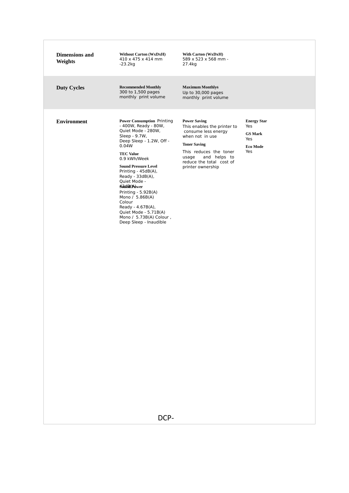| <b>Dimensions</b> and<br>Weights | <b>Without Carton (WxDxH)</b><br>410 x 475 x 414 mm<br>$-23.2kg$                                                                                                                                                                                                                                                                                                                                                                          | With Carton (WxDxH)<br>589 x 523 x 568 mm -<br>27.4kg                                                                                                                                                                   |                                                                       |
|----------------------------------|-------------------------------------------------------------------------------------------------------------------------------------------------------------------------------------------------------------------------------------------------------------------------------------------------------------------------------------------------------------------------------------------------------------------------------------------|-------------------------------------------------------------------------------------------------------------------------------------------------------------------------------------------------------------------------|-----------------------------------------------------------------------|
| <b>Duty Cycles</b>               | <b>Recommended Monthly</b><br>300 to 1,500 pages<br>monthly print volume                                                                                                                                                                                                                                                                                                                                                                  | <b>Maximum Monthly6</b><br>Up to 30,000 pages<br>monthly print volume                                                                                                                                                   |                                                                       |
| <b>Environment</b>               | <b>Power Consumption Printing</b><br>- 400W, Ready - 80W,<br>Quiet Mode - 280W,<br>Sleep - 9.7W,<br>Deep Sleep - 1.2W, Off -<br>0.04W<br><b>TEC Value</b><br>0.9 kWh/Week<br><b>Sound Pressure Level</b><br>Printing - 45dB(A),<br>Ready - 33dB(A),<br>Quiet Mode -<br>Sodd@(Adwer<br>Printing - 5.92B(A)<br>Mono / 5.86B(A)<br>Colour<br>Ready - 4.67B(A),<br>Quiet Mode - 5.71B(A)<br>Mono / 5.73B(A) Colour,<br>Deep Sleep - Inaudible | <b>Power Saving</b><br>This enables the printer to<br>consume less energy<br>when not in use<br><b>Toner Saving</b><br>This reduces the toner<br>and helps to<br>usage<br>reduce the total cost of<br>printer ownership | <b>Energy Star</b><br>Yes<br><b>GS Mark</b><br>Yes<br>Eco Mode<br>Yes |
|                                  | DCP-                                                                                                                                                                                                                                                                                                                                                                                                                                      |                                                                                                                                                                                                                         |                                                                       |
|                                  |                                                                                                                                                                                                                                                                                                                                                                                                                                           |                                                                                                                                                                                                                         |                                                                       |